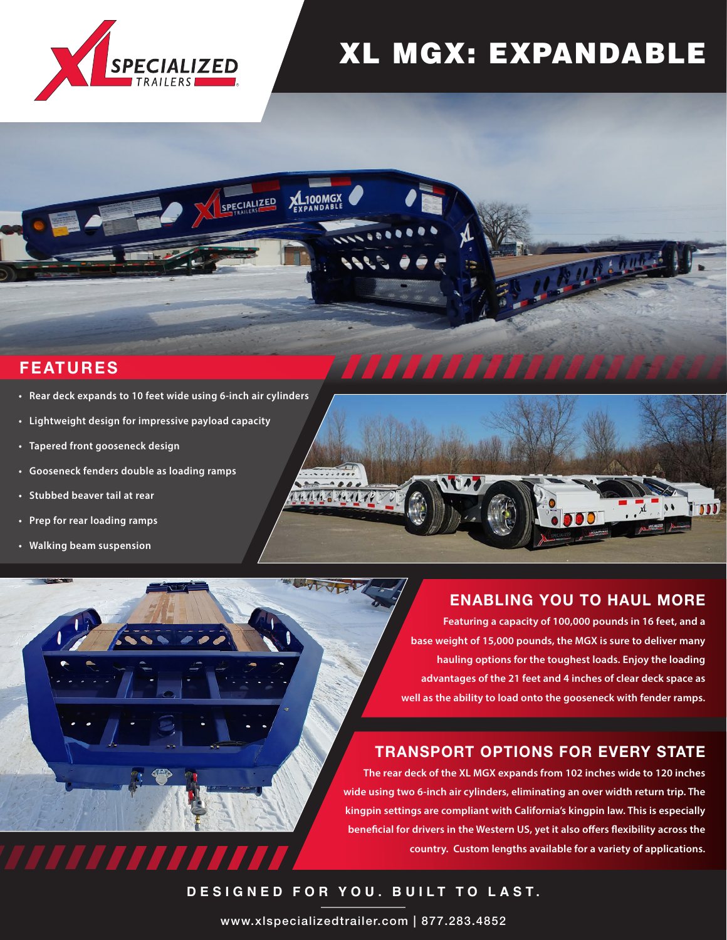

# XL MGX: EXPANDABLE

# **FEATURES**

**• Rear deck expands to 10 feet wide using 6-inch air cylinders**

7777777

- **• Lightweight design for impressive payload capacity**
- **• Tapered front gooseneck design**
- **• Gooseneck fenders double as loading ramps**
- **• Stubbed beaver tail at rear**
- **• Prep for rear loading ramps**
- **• Walking beam suspension**



# **ENABLING YOU TO HAUL MORE**

**The tail is comprised of two sections – Featuring a capacity of 100,000 pounds in 16 feet, and a an 8-foot 8-inch platform ramp and a base weight of 15,000 pounds, the MGX is sure to deliver many hauling options for the toughest loads. Enjoy the loading to lug style hinges. These hinges prevent debris from advantages of the 21 feet and 4 inches of clear deck space as accumulating. well as the ability to load onto the gooseneck with fender ramps.** 

## **TRANSPORT OPTIONS FOR EVERY STATE**

**The rear deck of the XL MGX expands from 102 inches wide to 120 inches wide using two 6-inch air cylinders, eliminating an over width return trip. The kingpin settings are compliant with California's kingpin law. This is especially beneficial for drivers in the Western US, yet it also offers flexibility across the country. Custom lengths available for a variety of applications.**

**DESIGNED FOR YOU. BUILT TO LAST.**

XL100MGX

SPECIALIZED

www.xlspecializedtrailer.com | 877.283.4852